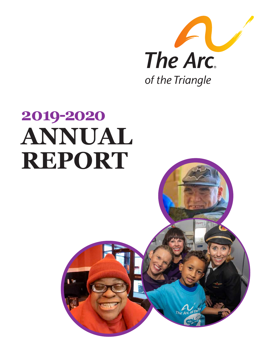

# **2019-2020 ANNUAL REPORT**

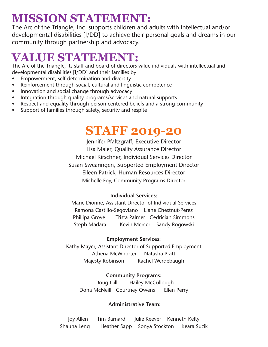### **MISSION STATEMENT:**

The Arc of the Triangle, Inc. supports children and adults with intellectual and/or developmental disabilities [I/DD] to achieve their personal goals and dreams in our community through partnership and advocacy.

## **VALUE STATEMENT:**

The Arc of the Triangle, its staff and board of directors value individuals with intellectual and developmental disabilities [I/DD] and their families by:

- Empowerment, self-determination and diversity
- Reinforcement through social, cultural and linguistic competence
- Innovation and social change through advocacy
- Integration through quality programs/services and natural supports
- Respect and equality through person centered beliefs and a strong community
- Support of families through safety, security and respite

### **STAFF 2019-20**

Jennifer Pfaltzgraff, Executive Director Lisa Maier, Quality Assurance Director Michael Kirschner, Individual Services Director Susan Swearingen, Supported Employment Director Eileen Patrick, Human Resources Director Michelle Foy, Community Programs Director

#### **Individual Services:**

Marie Dionne, Assistant Director of Individual Services Ramona Castillo-Segoviano Liane Chestnut-Perez Phillipa Grove Trista Palmer Cedrician Simmons Steph Madara Kevin Mercer Sandy Rogowski

#### **Employment Services:**

Kathy Mayer, Assistant Director of Supported Employment Athena McWhorter Natasha Pratt Majesty Robinson Rachel Werdebaugh

#### **Community Programs:**

Doug Gill Hailey McCullough Dona McNeill Courtney Owens Ellen Perry

#### **Administrative Team:**

Joy Allen Tim Barnard Julie Keever Kenneth Kelty Shauna Leng Heather Sapp Sonya Stockton Keara Suzik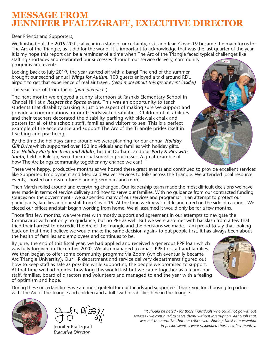### **MESSAGE FROM JENNIFER PFALTZGRAFF, EXECUTIVE DIRECTOR**

Dear Friends and Supporters,

We finished out the 2019-20 fiscal year in a state of uncertainty, risk, and fear. Covid-19 became the main focus for The Arc of the Triangle, as it did for the world. It is important to acknowledge that was the last quarter of the year. It is my hope this report can be a reminder of a time when The Arc of the Triangle faced typical challenges like staffing shortages and celebrated our successes through our service delivery, community programs and events.

Looking back to July 2019, the year started off with a bang! The end of the summer brought our second annual *Wings for Autism*. 100 guests enjoyed a taxi around RDU airport to get that experience of real air travel. *(read more about this great event inside!)*

The year took off from there. (*pun intended* :)

The next month we enjoyed a sunny afternoon at Rashkis Elementary School in Chapel Hill at a *Respect the Space* event. This was an opportunity to teach students that disability parking is just one aspect of making sure we support and provide accommodations for our friends with disabilities. Children of all abilities and their teachers decorated the disability parking with sidewalk chalk and posters for all of the schools staff, families and visitors to see. This is a perfect example of the acceptance and support The Arc of the Triangle prides itself in teaching and practicing.

By the time the holidays came around we were planning for our annual *Holiday Gift Drive* which supported over 150 individuals and families with holiday gifts. Our *Holiday Party for Teens and Adults*, held in Durham, and our *Party & Pics with Santa*, held in Raleigh, were their usual smashing successes. A great example of how The Arc brings community together any chance we can!



These were happy, productive months as we hosted these great events and continued to provide excellent services like Supported Employment and Medicaid Waiver services to folks across the Triangle. We attended local resource events, hosted our own future planning seminars and more.

Then March rolled around and everything changed. Our leadership team made the most difficult decisions we have ever made in terms of service delivery and how to serve our families. With no guidance from our contracted funding sources nor the government - we suspended many of our services and programs\* in an attempt to protect our participants, families and our staff from Covid-19. At the time we knew so little and erred on the side of caution. We closed our offices and staff began working from home. We all assumed it would only be for a few months.

Those first few months, we were met with mostly support and agreement in our attempts to navigate the Coronavirus with not only no guidance, but no PPE as well. But we were also met with backlash from a few that tried their hardest to discredit The Arc of the Triangle and the decisions we made. I am proud to say that looking back on that time I believe we would make the same decision again- to put people first. It has always been about the health of families and employees and continues to be.

By June, the end of this fiscal year, we had applied and received a generous PPP loan which was fully forgiven in December 2020. We also managed to amass PPE for staff and families. We then began to offer some community programs via Zoom (which eventually became Arc Triangle University). Our HR department and service delivery departments figured out how to keep staff as safe as possible while supporting the people we promised to support. At that time we had no idea how long this would last but we came together as a team- our staff, families, board of directors and volunteers and managed to end the year with a feeling of optimism and hope.



During these uncertain times we are most grateful for our friends and supporters. Thank you for choosing to partner with The Arc of the Triangle and children and adults with disabilities here in the Triangle.



Jennifer Pfaltzgraff *Executive Director*

*\*It should be noted - for those individuals who could not go without services - we continued to serve them- without interruption. Although that was not the narrative that our critics were sharing. Most non-essential in-person services were suspended those first few months.*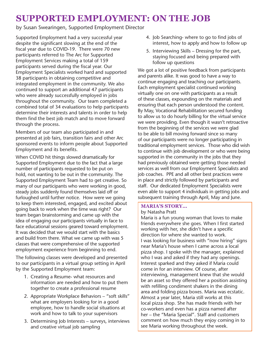### **SUPPORTED EMPLOYMENT: ON THE JOB**

by Susan Swearingen, Supported Employment Director

Supported Employment had a very successful year despite the significant slowing at the end of the fiscal year due to COVID-19. There were 70 new participants referred to The Arc for Supported Employment Services making a total of 159 participants served during the fiscal year. Our Employment Specialists worked hard and supported 38 participants in obtaining competitive and integrated employment in the community. We also continued to support an additional 47 participants who were already successfully employed in jobs throughout the community. Our team completed a combined total of 34 evaluations to help participants determine their interests and talents in order to help them find the best job match and to move forward through the process.

Members of our team also participated in and presented at job fairs, transition fairs and other Arc sponsored events to inform people about Supported Employment and its benefits.

When COVID hit things slowed dramatically for Supported Employment due to the fact that a large number of participants requested to be put on hold, not wanting to be out in the community. The Supported Employment Team had to get creative. So many of our participants who were working in good, steady jobs suddenly found themselves laid off or furloughed until further notice. How were we going to keep them interested, engaged, and excited about going back to work when the time was right? Our team began brainstorming and came up with the idea of engaging our participants virtually in face to face educational sessions geared toward employment. It was decided that we would start with the basics and build from there. What we came up with was 5 classes that were comprehensive of the supported employment experience from beginning to end.

The following classes were developed and presented to our participants in a virtual group setting in April by the Supported Employment team:

- 1. Creating a Resume- what resources and information are needed and how to put them together to create a professional resume
- 2. Appropriate Workplace Behaviors "soft skills" what are employers looking for in a good employee, how to handle social situations at work and how to talk to your supervisors
- 3. Determining Job Interests surveys, interviews and creative virtual job sampling
- 4. Job Searching- where to go to find jobs of interest, how to apply and how to follow up
- 5. Interviewing Skills Dressing for the part, staying focused and being prepared with follow up questions

We got a lot of positive feedback from participants and parents alike. It was good to have a way to continue engaging and teaching our participants. Each employment specialist continued working virtually one on one with participants as a result of these classes, expounding on the materials and ensuring that each person understood the content. By May, Vocational Rehabilitation secured funding to allow us to do hourly billing for the virtual service we were providing. Even though it wasn't retroactive from the beginning of the services we were glad to be able to bill moving forward since so many of our participants were no longer participating in traditional employment services. Those who did wish to continue with job development or who were being supported in the community in the jobs that they had previously obtained were getting those needed services as well from our Employment Specialists and job coaches. PPE and all other best practices were in place and strictly followed by participants and staff. Our dedicated Employment Specialists were even able to support 4 individuals in getting jobs and subsequent training through April, May and June.

#### **MARIA'S STORY...**

#### by Natasha Pratt

Maria is a fun young woman that loves to make friends everywhere she goes. When I first started working with her, she didn't have a specific direction for where she wanted to work. I was looking for business with "now hiring" signs near Maria's house when I came across a local pizza shop. I spoke with the manager, explained who I was and asked if they had any openings. Interest sparked and they asked if Maria could come in for an interview. Of course, after interviewing, management knew that she would be an asset so they offered her a position assisting with refilling condiment shakers in the dining area and folding pizza boxes. Maria was ecstatic. Almost a year later, Maria still works at this local pizza shop. She has made friends with her co-workers and even has a pizza named after her – the "Maria Special". Staff and customers comment on how much they enjoy coming in to see Maria working throughout the week.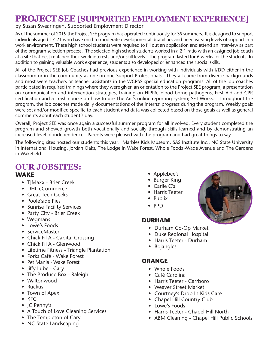### **PROJECT SEE [SUPPORTED EMPLOYMENT EXPERIENCE]**

#### by Susan Swearingen, Supported Employment Director

As of the summer of 2019 the Project SEE program has operated continuously for 39 summers. It is designed to support individuals aged 17-21 who have mild to moderate developmental disabilities and need varying levels of support in a work environment. These high school students were required to fill out an application and attend an interview as part of the program selection process. The selected high school students worked in a 2:1 ratio with an assigned job coach at a site that best matched their work interests and/or skill levels. The program lasted for 6 weeks for the students. In addition to gaining valuable work experience, students also developed or enhanced their social skills.

All of the Project SEE Job Coaches had previous experience in working with individuals with I/DD either in the classroom or in the community as one on one Support Professionals. They all came from diverse backgrounds and most were teachers or teacher assistants in the WCPSS special education programs. All of the job coaches participated in required trainings where they were given an orientation to the Project SEE program, a presentation on communication and intervention strategies, training on HIPPA, blood borne pathogens, First Aid and CPR certification and a crash course on how to use The Arc's online reporting system; SET-Works. Throughout the program, the job coaches made daily documentations of the interns' progress during the program. Weekly goals were set and/or modified specific to each student and data was collected based on those goals as well as general comments about each student's day.

Overall, Project SEE was once again a successful summer program for all involved. Every student completed the program and showed growth both vocationally and socially through skills learned and by demonstrating an increased level of independence. Parents were pleased with the program and had great things to say.

The following sites hosted our students this year: Marbles Kids Museum, SAS Institute Inc., NC State University in International Housing, Jordan Oaks, The Lodge in Wake Forest, Whole Foods -Wade Avenue and The Gardens in Wakefield.

#### **WAKE OUR JOBSITES:**

- T|Maxx Brier Creek
- DHL eCommerce
- Great Tech Geeks
- Poole'side Pies
- Sunrise Facility Services
- Party City Brier Creek
- Wegmans
- Lowe's Foods
- ServiceMaster
- Chick Fil A Capital Crossing
- Chick Fil A Glenwood
- Lifetime Fitness Triangle Plantation
- Forks Café Wake Forest
- Pet Mania Wake Forest
- Jiffy Lube Cary
- The Produce Box Raleigh
- Waltonwood
- Ruckus
- Town of Apex
- KFC
- JC Penny's
- A Touch of Love Cleaning Services
- The Templeton of Cary
- NC State Landscaping
- Applebee's
- Burger King
- Carlie C's
- Harris Teeter
- Publix
- PPD

#### **DURHAM**

- Durham Co-Op Market
- Duke Regional Hospital
- Harris Teeter Durham
- Bojangles

#### **ORANGE**

- Whole Foods
- Café Carolina
- Harris Teeter Carrboro
- Weaver Street Market
- Courtney's Drop In Kids Care
- Chapel Hill Country Club
- Lowe's Foods
- Harris Teeter Chapel Hill North
- ABM Cleaning Chapel Hill Public Schools

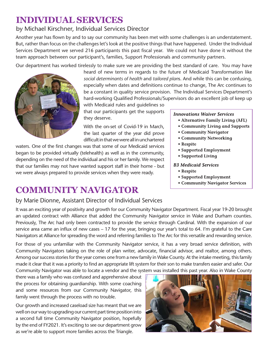### **INDIVIDUAL SERVICES**

#### by Michael Kirschner, Individual Services Director

Another year has flown by and to say our community has been met with some challenges is an understatement. But, rather than focus on the challenges let's look at the positive things that have happened. Under the Individual Services Department we served 216 participants this past fiscal year. We could not have done it without the team approach between our participant's, families, Support Professionals and community partners.

Our department has worked tirelessly to make sure we are providing the best standard of care. You may have



heard of new terms in regards to the future of Medicaid Transformation like *social determinants of health* and *tailored plan*s. And while this can be confusing, especially when dates and definitions continue to change, The Arc continues to be a constant in quality service provision. The Individual Services Department's hard-working Qualified Professionals/Supervisors do an excellent job of keep up

with Medicaid rules and guidelines so that our participants get the supports they deserve.

With the on-set of Covid-19 in March, the last quarter of the year did prove difficult in that we were all in unchartered

waters. One of the first changes was that some of our Medicaid services began to be provided virtually (telehealth) as well as in the community, depending on the need of the individual and his or her family. We respect that our families may not have wanted support staff in their home - but we were always prepared to provide services when they were ready.

### **COMMUNITY NAVIGATOR**

by Marie Dionne, Assistant Director of Individual Services It was an exciting year of positivity and growth for our Community Navigator Department. Fiscal year 19-20 brought an updated contract with Alliance that added the Community Navigator service in Wake and Durham counties. Previously, The Arc had only been contracted to provide the service through Cardinal. With the expansion of our

service area came an influx of new cases – 17 for the year, bringing our year's total to 64. I'm grateful to the Care Navigators at Alliance for spreading the word and referring families to The Arc for this versatile and rewarding service. For those of you unfamiliar with the Community Navigator service, it has a very broad service definition, with Community Navigators taking on the role of plan writer, advocate, financial advisor, and realtor, among others.

Among our success stories for the year comes one from a new family in Wake County. At the intake meeting, this family made it clear that it was a priority to find an appropriate lift system for their son to make transfers easier and safer. Our Community Navigator was able to locate a vendor and the system was installed this past year. Also in Wake County

there was a family who was confused and apprehensive about the process for obtaining guardianship. With some coaching and some resources from our Community Navigator, this family went through the process with no trouble.

Our growth and increased caseload size has meant that we are well on our way to upgrading our current part time position into a second full time Community Navigator position, hopefully by the end of FY2021. It's exciting to see our department grow as we're able to support more families across the Triangle.



#### **Innovations Waiver Services**

- Alternative Family Living (AFL)
- Community Living and Supports
- Community Navigator
- Community Networking
- Respite
- Supported Employment
- Supported Living

#### **B3 Medicaid Services**

- Respite
- Supported Employment
- Community Navigator Services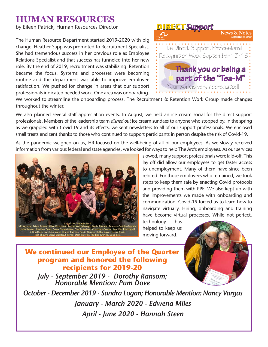#### **HUMAN RESOURCES**

by Eileen Patrick, Human Resources Director

The Human Resource Department started 2019-2020 with big change. Heather Sapp was promoted to Recruitment Specialist. She had tremendous success in her previous role as Employee Relations Specialist and that success has funneled into her new role. By the end of 2019, recruitment was stabilizing. Retention became the focus. Systems and processes were becoming routine and the department was able to improve employee satisfaction. We pushed for change in areas that our support professionals indicated needed work. One area was onboarding.



.<br>We worked to streamline the onboarding process. The Recruitment & Retention Work Group made changes throughout the winter.

we also planned several staff appreciation events. In August, we held an ice cream social for the direct support professionals. Members of the leadership team dished out ice cream sundaes to anyone who stopped by. In the spring as we grappled with Covid-19 and its effects, we sent newsletters to all of our support professionals. We enclosed small treats and sent thanks to those who continued to support participants in person despite the risk of Covid-19. I for the direct suppor

As the pandemic weighed on us, HR focused on the well-being of all of our employees. As we slowly received Information from various federal and state agencies, we looked for ways to help The Arc's employees. As our services information from various federal and state agencies, we looked for ways to help The Arc's employees. As o s to help The Arc's employees. As o



slowed, many support professionals were laid-off. This lay-off did allow our employees to get faster access to unemployment. Many of them have since been rehired. For those employees who remained, we took steps to keep them safe by enacting Covid protocols and providing them with PPE. We also kept up with the improvements we made with onboarding and communication. Covid-19 forced us to learn how to navigate virtually. Hiring, onboarding and training have become virtual processes. While not perfect,

technology has helped to keep us moving forward.



#### **We continued our Employee of the Quarter program and honored the following recipients for 2019-20**

*July - September 2019 - Dorothy Ransom; Honorable Mention: Pam Dove*

*October - December 2019 - Sandra Logan; Honorable Mention: Nancy Vargas January - March 2020 - Edwena Miles April - June 2020 - Hannah Steen*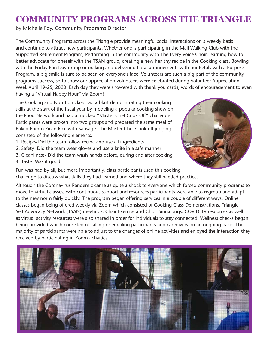### **COMMUNITY PROGRAMS ACROSS THE TRIANGLE**

by Michelle Foy, Community Programs Director

The Community Programs across the Triangle provide meaningful social interactions on a weekly basis and continue to attract new participants. Whether one is participating in the Mall Walking Club with the Supported Retirement Program, Performing in the community with The Every Voice Choir, learning how to better advocate for oneself with the TSAN group, creating a new healthy recipe in the Cooking class, Bowling with the Friday Fun Day group or making and delivering floral arrangements with our Petals with a Purpose Program, a big smile is sure to be seen on everyone's face. Volunteers are such a big part of the community programs success, so to show our appreciation volunteers were celebrated during Volunteer Appreciation Week April 19-25, 2020. Each day they were showered with thank you cards, words of encouragement to even having a "Virtual Happy Hour" via Zoom!

The Cooking and Nutrition class had a blast demonstrating their cooking skills at the start of the fiscal year by modeling a popular cooking show on the Food Network and had a mocked "Master Chef Cook-Off" challenge. Participants were broken into two groups and prepared the same meal of Baked Puerto Rican Rice with Sausage. The Master Chef Cook-off judging consisted of the following elements:

- 1. Recipe- Did the team follow recipe and use all ingredients
- 2. Safety- Did the team wear gloves and use a knife in a safe manner
- 3. Cleanliness- Did the team wash hands before, during and after cooking
- 4. Taste- Was it good!



Fun was had by all, but more importantly, class participants used this cooking challenge to discuss what skills they had learned and where they still needed practice.

Although the Coronavirus Pandemic came as quite a shock to everyone which forced community programs to move to virtual classes, with continuous support and resources participants were able to regroup and adapt to the new norm fairly quickly. The program began offering services in a couple of different ways. Online classes began being offered weekly via Zoom which consisted of Cooking Class Demonstrations, Triangle Self-Advocacy Network (TSAN) meetings, Chair Exercise and Choir Singalongs. COVID-19 resources as well as virtual activity resources were also shared in order for individuals to stay connected. Wellness checks began being provided which consisted of calling or emailing participants and caregivers on an ongoing basis. The majority of participants were able to adjust to the changes of online activities and enjoyed the interaction they received by participating in Zoom activities.

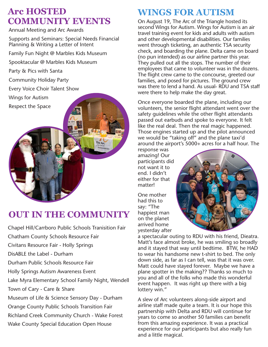### **Arc HOSTED COMMUNITY EVENTS**

Annual Meeting and Arc Awards

Supports and Seminars: Special Needs Financial Planning & Writing a Letter of Intent

Family Fun Night @ Marbles Kids Museum

Spooktacular @ Marbles Kids Museum

Party & Pics with Santa

Community Holiday Party

Every Voice Choir Talent Show

Wings for Autism

Respect the Space

### **OUT IN THE COMMUNITY**

The Arc

Chapel Hill/Carrboro Public Schools Tranisition Fair Chatham County Schools Resource Fair Civitans Resource Fair - Holly Springs DisABLE the Label - Durham Durham Public Schools Resource Fair Holly Springs Autism Awareness Event Lake Myra Elementary School Family Night, Wendell Town of Cary - Care & Share Museum of Life & Science Sensory Day - Durham Orange County Public Schools Transition Fair Richland Creek Community Church - Wake Forest Wake County Special Education Open House

### **WINGS FOR AUTISM**

On August 19, The Arc of the Triangle hosted its second Wings for Autism. Wings for Autism is an air travel training event for kids and adults with autism and other developmental disabilities. Our families went through ticketing, an authentic TSA security check, and boarding the plane. Delta came on board (no pun intended) as our airline partner this year. They pulled out all the stops. The number of their employees that came to volunteer was in the dozens. The flight crew came to the concourse, greeted our families, and posed for pictures. The ground crew was there to lend a hand. As usual- RDU and TSA staff were there to help make the day great.

Once everyone boarded the plane, including our volunteers, the senior flight attendant went over the safety guidelines while the other flight attendants passed out earbuds and spoke to everyone. It felt like the real deal. Then the real magic happened. Those engines started up and the pilot announced we would be "taking off" and the plane taxi'd around the airport's 5000+ acres for a half hour. The

response was amazing! Our participants did not want it to end. I didn't either for that matter!

One mother had this to say: "The happiest man on the planet arrived home yesterday after



a spectacular outing to RDU with his friend, Dieatra. Matt's face almost broke, he was smiling so broadly and it stayed that way until bedtime. BTW, he HAD to wear his handsome new t-shirt to bed. The only down side, as far as I can tell, was that it was over. Matt could have stayed forever. Maybe we have a plane spotter in the making?? Thanks so much to you and all of the folks who made this wonderful event happen. It was right up there with a big lottery win."

A slew of Arc volunteers along-side airport and airline staff made quite a team. It is our hope this partnership with Delta and RDU will continue for years to come so another 50 families can benefit from this amazing experience. It was a practical experience for our participants but also really fun and a little magical.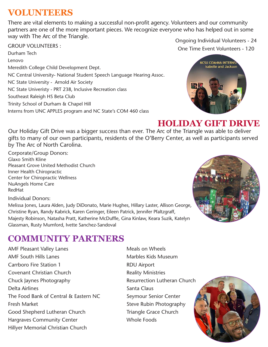### **VOLUNTEERS**

There are vital elements to making a successful non-profit agency. Volunteers and our community partners are one of the more important pieces. We recognize everyone who has helped out in some way with The Arc of the Triangle.

GROUP VOLUNTEERS :

Durham Tech Lenovo Meredith College Child Development Dept. NC Central University- National Student Speech Language Hearing Assoc. NC State University - Arnold Air Society NC State Univeristy - PRT 238, Inclusive Recreation class Southeast Raleigh HS Beta Club Trinity School of Durham & Chapel Hill Interns from UNC APPLES program and NC State's COM 460 class

Ongoing Individual Volunteers - 24 One Time Event Volunteers - 120



### **HOLIDAY GIFT DRIVE**

Our Holiday Gift Drive was a bigger success than ever. The Arc of the Triangle was able to deliver gifts to many of our own participants, residents of the O'Berry Center, as well as participants served by The Arc of North Carolina.

Corporate/Group Donors: Glaxo Smith Kline Pleasant Grove United Methodist Church Inner Health Chiropractic Center for Chiropractic Wellness NuAngels Home Care RedHat

Individual Donors: Melissa Jones, Laura Alden, Judy DiDonato, Marie Hughes, Hillary Laster, Allison George, Christine Ryan, Randy Kabrick, Karen Geringer, Eileen Patrick, Jennifer Pfaltzgraff, Majesty Robinson, Natasha Pratt, Katherine McDuffle, Gina Kinlaw, Keara Suzik, Katelyn Glassman, Rusty Mumford, Ivette Sanchez-Sandoval

### **COMMUNITY PARTNERS**

AMF Pleasant Valley Lanes AMF South Hills Lanes Carrboro Fire Station 1 Covenant Christian Church Chuck Jaynes Photography Delta Airlines The Food Bank of Central & Eastern NC Fresh Market Good Shepherd Lutheran Church Hargraves Community Center Hillyer Memorial Christian Church

Meals on Wheels Marbles Kids Museum RDU Airport Reality Ministries Resurrection Lutheran Church Santa Claus Seymour Senior Center Steve Rubin Photography Triangle Grace Church Whole Foods



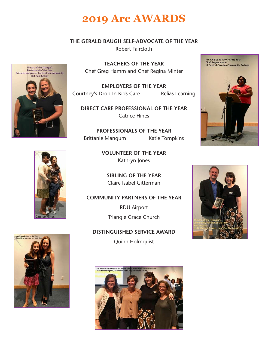### **2019 Arc AWARDS**

#### **THE GERALD BAUGH SELF-ADVOCATE OF THE YEAR**

Robert Faircloth



**TEACHERS OF THE YEAR** Chef Greg Hamm and Chef Regina Minter

**EMPLOYERS OF THE YEAR** Courtney's Drop-In Kids Care Relias Learning

**DIRECT CARE PROFESSIONAL OF THE YEAR** Catrice Hines

**PROFESSIONALS OF THE YEAR** Brittanie Mangum Katie Tompkins

> **VOLUNTEER OF THE YEAR** Kathryn Jones

**SIBLING OF THE YEAR** Claire Isabel Gitterman

#### **COMMUNITY PARTNERS OF THE YEAR**

RDU Airport Triangle Grace Church

**DISTINGUISHED SERVICE AWARD** Quinn Holmquist









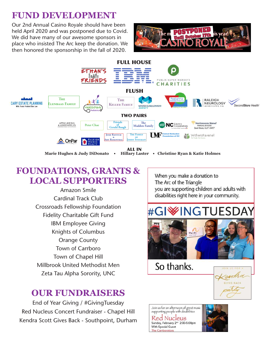### **FUND DEVELOPMENT**

Our 2nd Annual Casino Royale should have been held April 2020 and was postponed due to Covid. We did have many of our awesome sponsors in place who insisted The Arc keep the donation. We then honored the sponsorship in the fall of 2020.





### **FOUNDATIONS, GRANTS & LOCAL SUPPORTERS**

Amazon Smile Cardinal Track Club Crossroads Fellowship Foundation Fidelity Charitable Gift Fund IBM Employee Giving Knights of Columbus Orange County Town of Carrboro Town of Chapel Hill Millbrook United Methodist Men Zeta Tau Alpha Sorority, UNC

### **OUR FUNDRAISERS**

End of Year Giving / #GivingTuesday Red Nucleus Concert Fundraiser - Chapel Hill Kendra Scott Gives Back - Southpoint, Durham

When you make a donation to The Arc of the Triangle you are supporting children and adults with disabilities right here in your community.



So thanks.



Join us for an afternoon of great music<br>supporting people with disabilities **Red Nucleus** Sunday, February 2<sup>nd</sup> 2:00-5:00pm **With Special Guest** The Carrborators

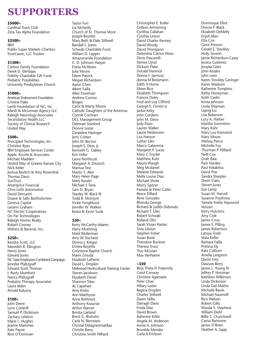### **SUPPORTERS**

#### **\$5000+**

Cardinal Track Club Zeta Tau Alpha Foundation

#### **\$2500+**

IBM Publix Super Markets Charities YourCause, LLC Trustee

#### **\$1500+**

Carlson Family Foundation Derek D. Elenbaas Fidelity Charitable Gift Fund Pediatric Possibilities University Presbyterian Church

#### **\$1000+**

American Endowment Foundation Cristina Flake Lamb Foundation of NC, Inc Marsh & McLennan Agency LLC Raleigh Neurology Associates Secondstory Health LLC Society of Clinical Research United Way

#### **\$500+**

Principled Technologies, Inc Christine Ryan IBM Employee Services Center Apple, Kocela & Associates Michael Madden United Way of Greater Kansas City Nick Keller Joshua Ravitch & Amy Rosenthal Thomas Davis SunTrust Ameriprice Financial Chris Leith Automotive David Demarini Duane & Sally Bartholomew Geneva Capital Leeann Graham NC Electric Cooperatives On Par Technologies Raleigh Homes Realty Robert Cooney Withers & Ravenel, Inc.

#### **\$250+**

Kendra Scott, LLC Meredith R. Ellington Henry Jones Edward Jones NC State Employees Combined Campaign Jennifer Pfaltzgraff Edward Scott Thomas J. Rusty Mumford Nancy Pfaltzgraff Pediatric Therapy Associates Laura Alden Arnold Kaluzny

#### **\$100+**

John Deere Lynn Cotterill Samuel P. Dickinson Zachary Lefaivre Marie L. Hughes Jeanne Mammes Kate Payne Ross O'Donovan

Taylor Furr Lia McNeilly Church of St. Thomas More Joseph Boyette Mary Beth & Dale Stillwell Randall L. Jones Schwab Charitable Fund William D. Lappin Amazonsmile Foundation C. D. Johnson Harper Eneta McAlister Julia Moore Eileen Patrick Megan Richardson Aaron Chen Albert Failla Allen Overman Andrew Conner Biogen Carol & Marty Moore Catholic Daughters of the Americas Connie Cochran DCL Management Group Deborah Stanford Dionne Lester Geraldine Hasinger Jerry Cotten John W. Becton Joseph E. Dew, Jr. Kenneth G. Oakley Kim Feller Laura Northcutt Margaret A. Deutsch Marissa Tew Marlys S. Akin Mary Helen Page Mary Kessler Michael S Tane Sam D. Bryan Stanley W. Black III Todd R. McIntyre Vickie Yongblood Jennifer W. Walken Keara & Kevin Suzik

#### **\$50+**

Kerry McCarthy-Adams Harry Moehring Mark Wollerman Amy W. Eischeid Donna J. Kregor Emilea Boyette Greystone Baptist Church Maire Zmuda Elizabeth LaPierre David L. Dropkin Melwood Horticultural Training Center Steven Jacobson Elizabeth Diesel Shannon Sikes AL Capehart Amy Krebs Ann Matthysse Anne Rothrock Anthony Krasznai Arthur Warner Bonita Garland Brent G. Rinholm Carla N. Bernstein Christal Delagrammatikas Christie Barry Christina Smith Hilliard

Christopher E. Koller Colleen Armstrong Cynthia Callahan Cynthia Linton David Charles Kenney David Woody David Thompson Delondria Catrice Hines Denis Pascarelli Denise Llyod Dickson Flake Donald Hamrick Donna F. Jarmusz donna M Beckmann Edith H Horne Eileen Rice Elizabeth Thompson Frances Duley Fred and Lisa Clifford George E. Forrest Jr. Jackie Kelty John Cordeiro John M. Davis Judy Elson Lauren Walker Laurie Nederveen Lisa Hanson Luther Liles Marco Galaverna Margaret P. Lucas Mary C Snyder Matthew Kuhr Maura Waugh Meg Mcdaniel Melanie Edwards Mella Louise Diaz Michael Shore Morry Spitzer Pamela & Peter Catlin Reece Dillard Rene Gonzales Rhonda George Richard & Judith Didonato Richard T. Liles Robert Schwab Rolland Olin Sarah Vivian Harlan Sivia Liboon Stephen Fisher Susan Book Theodore Buckner Theresa Trout Troy McLean Max VanName

#### **>\$50**

Beta Theta Pi Fraternity Carol Conway Christine Agamaite Peter Chae<sup>-</sup> Hillary Laster Regina Dropkin Charles Stillwell Dawn Selby Darragh Davis Freda Dias David Brown Adrienne Kittle Angela M. Anderson Annie A. Johnson Brunilda Mendez Carla A Erickson

Dominique Elliot Donna P. Black Elizabeth DeMelfy Enjoli Allen Etta Cox Gene Presson Gerald E. Stockley Holly Severin Jamie Richardson-Casey Jessica Gutierrez Jessyka Glatz John Kessler John Leon Karen Stockley Geringer Karen Wasburn Katherine Tompkins Kathy Honeyman Keith Caslin Krista Johnson Linda Shipman Liping Liu Lisa Roberson Lucy A. Harber Martha Sorrentino Mary Kuhr Mary Lou Kransnick Mary Mouw Melissa Pierce Michelle Foy Thurman P. Hilliard Neill Cox Orah Raia Pam Hardee Paul Yokabitus David Poe Sandra Sharples Sherri Claes Steven Jones Sue Lamp Susan M. Harvell Susanne Poythress Tamela Yvette Haywood Verizon Kerry Hutchins Amy Cole James Cross James E. Pilling James Robertson Latoya Todd Maia Keller Barbara Failla Prithiva Ely Kate Colburn Amelia Langston Darrin Frey Dawson Berry James L. Young III Jeffrey P. Horsman Kathleen Wilkinson Linda Dickinson Linda Gail Mathis Michelle Rawls Michael Naumoff Rico Watson Robert Gillis Wanda S. Stephens William Diehl Billie S. Churchwell Carisa Ransome James O'Brien Heather A. Sapp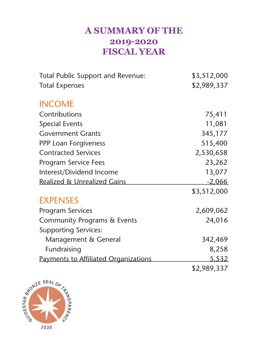### **A SUMMARY OF THE 2019-2020 FISCAL YEAR**

| <b>Total Public Support and Revenue:</b> | \$3,512,000   |
|------------------------------------------|---------------|
| <b>Total Expenses</b>                    | \$2,989,337   |
| <b>INCOME</b>                            |               |
| Contributions                            | 75,411        |
| <b>Special Events</b>                    | 11,081        |
| <b>Government Grants</b>                 | 345,177       |
| <b>PPP Loan Forgiveness</b>              | 515,400       |
| <b>Contracted Services</b>               | 2,530,658     |
| <b>Program Service Fees</b>              | 23,262        |
| Interest/Dividend Income                 | 13,077        |
| <b>Realized &amp; Unrealized Gains</b>   | <u>-2,066</u> |
|                                          | \$3,512,000   |
| <b>EXPENSES</b>                          |               |
| <b>Program Services</b>                  | 2,609,062     |
| <b>Community Programs &amp; Events</b>   | 24,016        |
| <b>Supporting Services:</b>              |               |
| Management & General                     | 342,469       |
| Fundraising                              | 8,258         |
| Payments to Affiliated Organizations     | 5,532         |
|                                          | \$2,989,337   |